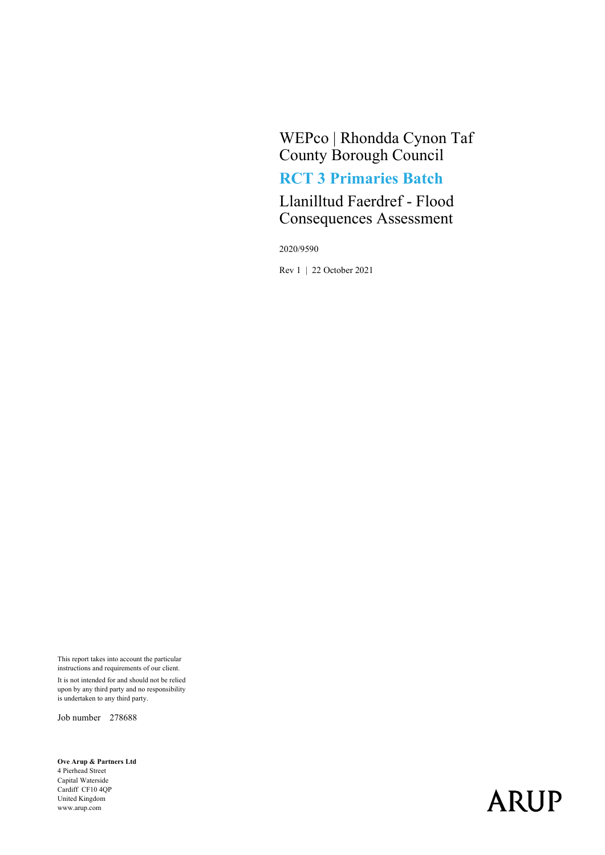WEPco | Rhondda Cynon Taf County Borough Council RCT 3 Primaries Batch

Llanilltud Faerdref - Flood Consequences Assessment

2020/9590

Rev 1 | 22 October 2021

This report takes into account the particular instructions and requirements of our client. It is not intended for and should not be relied upon by any third party and no responsibility is undertaken to any third party.

Job number 278688

Ove Arup & Partners Ltd 4 Pierhead Street Capital Waterside Cardiff CF10 4QP United Kingdom www.arup.com

# **ARUP**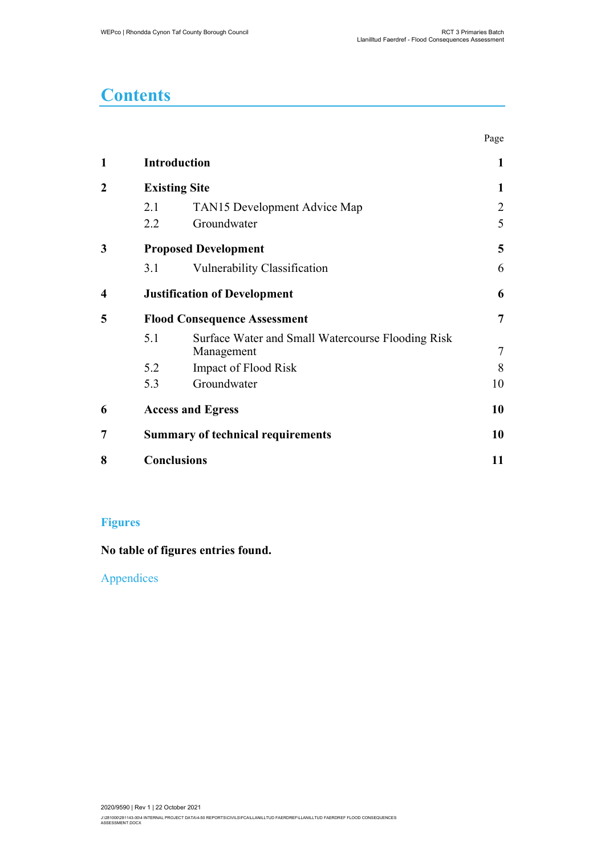## **Contents**

|   |                                     |                                                                 | Page   |
|---|-------------------------------------|-----------------------------------------------------------------|--------|
| 1 |                                     | <b>Introduction</b>                                             | 1      |
| 2 | <b>Existing Site</b>                |                                                                 | 1      |
|   | 2.1                                 | TAN15 Development Advice Map                                    | 2      |
|   | 2.2                                 | Groundwater                                                     | 5      |
| 3 | <b>Proposed Development</b>         |                                                                 | 5      |
|   | 3.1                                 | Vulnerability Classification                                    | 6      |
| 4 |                                     | <b>Justification of Development</b>                             | 6      |
| 5 | <b>Flood Consequence Assessment</b> |                                                                 | 7      |
|   | 5.1                                 | Surface Water and Small Watercourse Flooding Risk<br>Management | $\tau$ |
|   | 5.2                                 | Impact of Flood Risk                                            | 8      |
|   | 5.3                                 | Groundwater                                                     | 10     |
| 6 |                                     | <b>Access and Egress</b>                                        |        |
| 7 |                                     | <b>Summary of technical requirements</b>                        |        |
| 8 |                                     | <b>Conclusions</b>                                              |        |

#### Figures

No table of figures entries found.

Appendices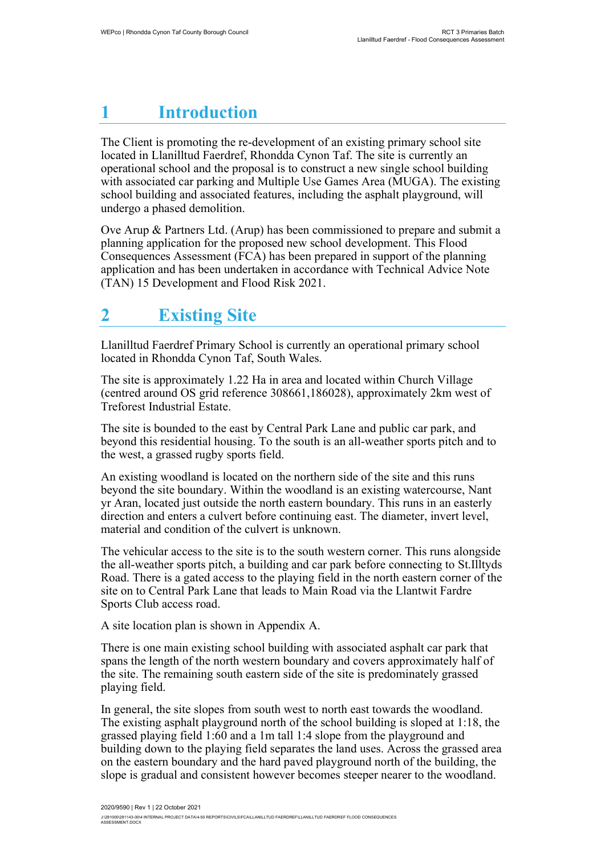# **Introduction**

The Client is promoting the re-development of an existing primary school site located in Llanilltud Faerdref, Rhondda Cynon Taf. The site is currently an operational school and the proposal is to construct a new single school building with associated car parking and Multiple Use Games Area (MUGA). The existing school building and associated features, including the asphalt playground, will undergo a phased demolition.

Ove Arup & Partners Ltd. (Arup) has been commissioned to prepare and submit a planning application for the proposed new school development. This Flood Consequences Assessment (FCA) has been prepared in support of the planning application and has been undertaken in accordance with Technical Advice Note (TAN) 15 Development and Flood Risk 2021.

# **Existing Site**

Llanilltud Faerdref Primary School is currently an operational primary school located in Rhondda Cynon Taf, South Wales.

The site is approximately 1.22 Ha in area and located within Church Village (centred around OS grid reference 308661,186028), approximately 2km west of Treforest Industrial Estate.

The site is bounded to the east by Central Park Lane and public car park, and beyond this residential housing. To the south is an all-weather sports pitch and to the west, a grassed rugby sports field.

An existing woodland is located on the northern side of the site and this runs beyond the site boundary. Within the woodland is an existing watercourse, Nant yr Aran, located just outside the north eastern boundary. This runs in an easterly direction and enters a culvert before continuing east. The diameter, invert level, material and condition of the culvert is unknown.

The vehicular access to the site is to the south western corner. This runs alongside the all-weather sports pitch, a building and car park before connecting to St.Illtyds Road. There is a gated access to the playing field in the north eastern corner of the site on to Central Park Lane that leads to Main Road via the Llantwit Fardre Sports Club access road.

A site location plan is shown in Appendix A.

There is one main existing school building with associated asphalt car park that spans the length of the north western boundary and covers approximately half of the site. The remaining south eastern side of the site is predominately grassed playing field.

In general, the site slopes from south west to north east towards the woodland. The existing asphalt playground north of the school building is sloped at 1:18, the grassed playing field 1:60 and a 1m tall 1:4 slope from the playground and building down to the playing field separates the land uses. Across the grassed area on the eastern boundary and the hard paved playground north of the building, the slope is gradual and consistent however becomes steeper nearer to the woodland.

J:\281000\281143-00\4 INTERNAL PROJECT DATA\4-50 REPORTS\CIVILS\FCA\LLANILLTUD FAERDREF\LLANILLTUD FAERDREF FLOOD CONSEQUENCES<br>ASSESSMENT.DOCX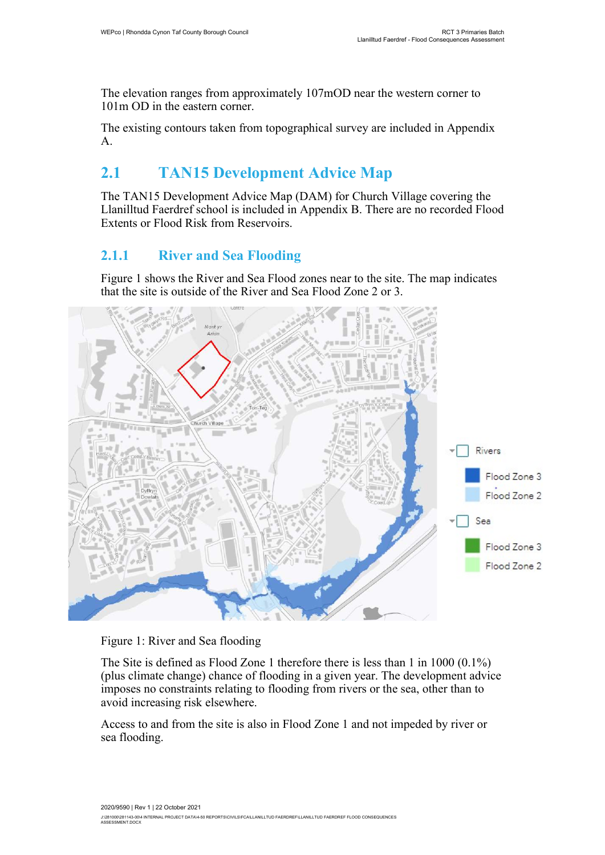The elevation ranges from approximately 107mOD near the western corner to 101m OD in the eastern corner.

The existing contours taken from topographical survey are included in Appendix A.

### 2.1 TAN15 Development Advice Map

The TAN15 Development Advice Map (DAM) for Church Village covering the Llanilltud Faerdref school is included in Appendix B. There are no recorded Flood Extents or Flood Risk from Reservoirs.

#### 2.1.1 River and Sea Flooding

Figure 1 shows the River and Sea Flood zones near to the site. The map indicates that the site is outside of the River and Sea Flood Zone 2 or 3.



Figure 1: River and Sea flooding

The Site is defined as Flood Zone 1 therefore there is less than 1 in 1000 (0.1%) (plus climate change) chance of flooding in a given year. The development advice imposes no constraints relating to flooding from rivers or the sea, other than to avoid increasing risk elsewhere.

Access to and from the site is also in Flood Zone 1 and not impeded by river or sea flooding.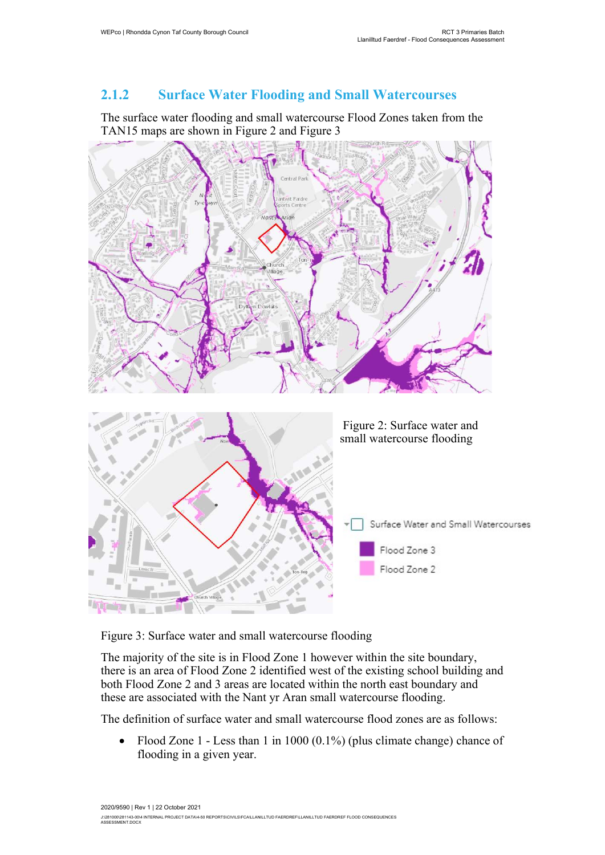#### 2.1.2 Surface Water Flooding and Small Watercourses

The surface water flooding and small watercourse Flood Zones taken from the TAN15 maps are shown in Figure 2 and Figure 3



Figure 3: Surface water and small watercourse flooding

The majority of the site is in Flood Zone 1 however within the site boundary, there is an area of Flood Zone 2 identified west of the existing school building and both Flood Zone 2 and 3 areas are located within the north east boundary and these are associated with the Nant yr Aran small watercourse flooding.

The definition of surface water and small watercourse flood zones are as follows:

• Flood Zone 1 - Less than 1 in 1000  $(0.1\%)$  (plus climate change) chance of flooding in a given year.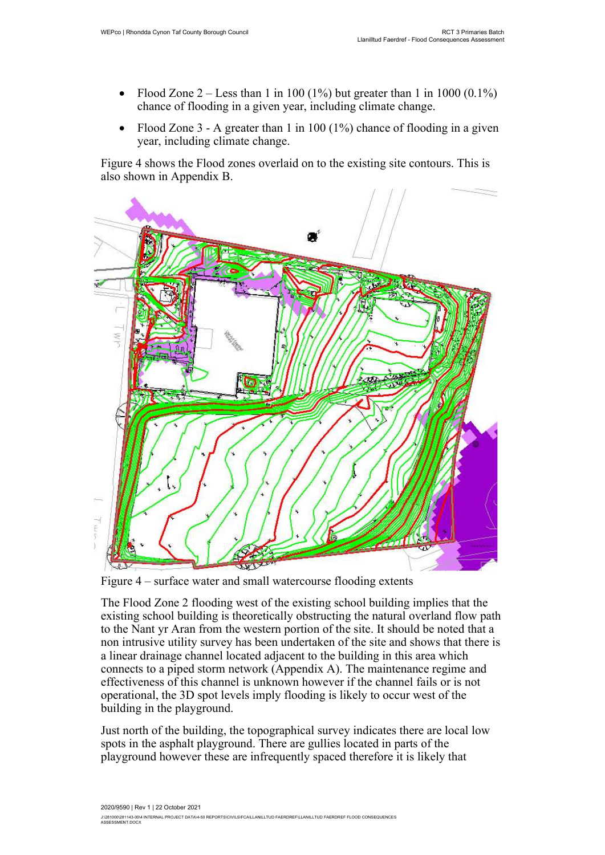- Flood Zone  $2 -$  Less than 1 in 100 (1%) but greater than 1 in 1000 (0.1%) chance of flooding in a given year, including climate change.
- Flood Zone  $3 A$  greater than 1 in 100 (1%) chance of flooding in a given year, including climate change.

Figure 4 shows the Flood zones overlaid on to the existing site contours. This is also shown in Appendix B.



Figure 4 – surface water and small watercourse flooding extents

The Flood Zone 2 flooding west of the existing school building implies that the existing school building is theoretically obstructing the natural overland flow path to the Nant yr Aran from the western portion of the site. It should be noted that a non intrusive utility survey has been undertaken of the site and shows that there is a linear drainage channel located adjacent to the building in this area which connects to a piped storm network (Appendix A). The maintenance regime and effectiveness of this channel is unknown however if the channel fails or is not operational, the 3D spot levels imply flooding is likely to occur west of the building in the playground.

Just north of the building, the topographical survey indicates there are local low spots in the asphalt playground. There are gullies located in parts of the playground however these are infrequently spaced therefore it is likely that

2020/9590 | Rev 1 | 22 October 2021 J:\281000\281143-00\4 INTERNAL PROJECT DATA\4-50 REPORTS\CIVILS\FCA\LLANILLTUD FAERDREF\LLANILLTUD FAERDREF FLOOD CONSEQUENCES<br>ASSESSMENT.DOCX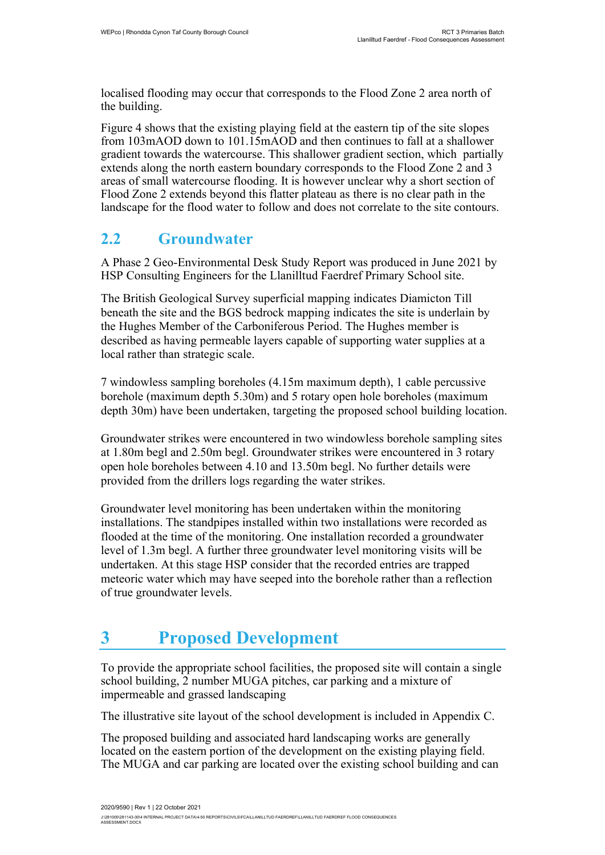localised flooding may occur that corresponds to the Flood Zone 2 area north of the building.

Figure 4 shows that the existing playing field at the eastern tip of the site slopes from 103mAOD down to 101.15mAOD and then continues to fall at a shallower gradient towards the watercourse. This shallower gradient section, which partially extends along the north eastern boundary corresponds to the Flood Zone 2 and 3 areas of small watercourse flooding. It is however unclear why a short section of Flood Zone 2 extends beyond this flatter plateau as there is no clear path in the landscape for the flood water to follow and does not correlate to the site contours.

#### 2.2 Groundwater

A Phase 2 Geo-Environmental Desk Study Report was produced in June 2021 by HSP Consulting Engineers for the Llanilltud Faerdref Primary School site.

The British Geological Survey superficial mapping indicates Diamicton Till beneath the site and the BGS bedrock mapping indicates the site is underlain by the Hughes Member of the Carboniferous Period. The Hughes member is described as having permeable layers capable of supporting water supplies at a local rather than strategic scale.

7 windowless sampling boreholes (4.15m maximum depth), 1 cable percussive borehole (maximum depth 5.30m) and 5 rotary open hole boreholes (maximum depth 30m) have been undertaken, targeting the proposed school building location.

Groundwater strikes were encountered in two windowless borehole sampling sites at 1.80m begl and 2.50m begl. Groundwater strikes were encountered in 3 rotary open hole boreholes between 4.10 and 13.50m begl. No further details were provided from the drillers logs regarding the water strikes.

Groundwater level monitoring has been undertaken within the monitoring installations. The standpipes installed within two installations were recorded as flooded at the time of the monitoring. One installation recorded a groundwater level of 1.3m begl. A further three groundwater level monitoring visits will be undertaken. At this stage HSP consider that the recorded entries are trapped meteoric water which may have seeped into the borehole rather than a reflection of true groundwater levels.

# 3 Proposed Development

To provide the appropriate school facilities, the proposed site will contain a single school building, 2 number MUGA pitches, car parking and a mixture of impermeable and grassed landscaping

The illustrative site layout of the school development is included in Appendix C.

The proposed building and associated hard landscaping works are generally located on the eastern portion of the development on the existing playing field. The MUGA and car parking are located over the existing school building and can

J:\281000\281143-00\4 INTERNAL PROJECT DATA\4-50 REPORTS\CIVILS\FCA\LLANILLTUD FAERDREF\LLANILLTUD FAERDREF FLOOD CONSEQUENCES<br>ASSESSMENT.DOCX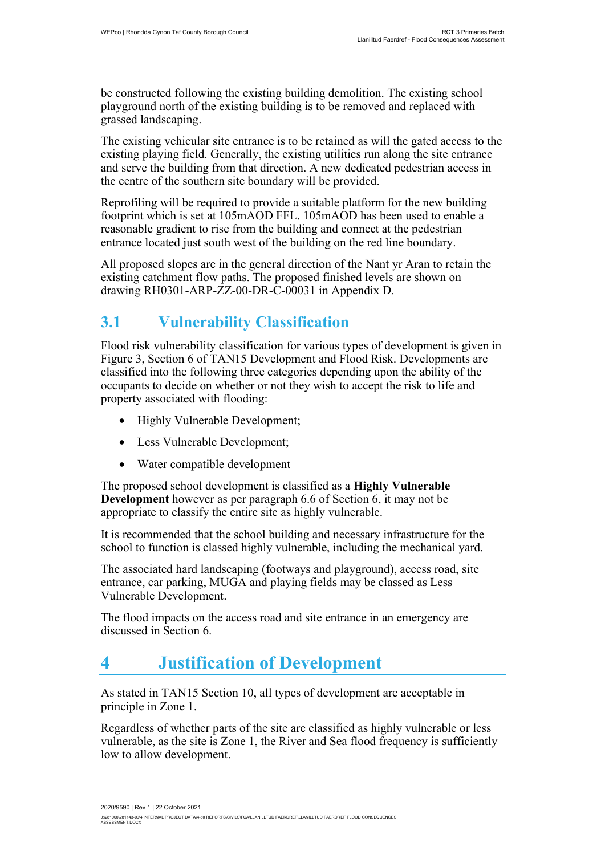be constructed following the existing building demolition. The existing school playground north of the existing building is to be removed and replaced with grassed landscaping.

The existing vehicular site entrance is to be retained as will the gated access to the existing playing field. Generally, the existing utilities run along the site entrance and serve the building from that direction. A new dedicated pedestrian access in the centre of the southern site boundary will be provided.

Reprofiling will be required to provide a suitable platform for the new building footprint which is set at 105mAOD FFL. 105mAOD has been used to enable a reasonable gradient to rise from the building and connect at the pedestrian entrance located just south west of the building on the red line boundary.

All proposed slopes are in the general direction of the Nant yr Aran to retain the existing catchment flow paths. The proposed finished levels are shown on drawing RH0301-ARP-ZZ-00-DR-C-00031 in Appendix D.

#### 3.1 Vulnerability Classification

Flood risk vulnerability classification for various types of development is given in Figure 3, Section 6 of TAN15 Development and Flood Risk. Developments are classified into the following three categories depending upon the ability of the occupants to decide on whether or not they wish to accept the risk to life and property associated with flooding:

- Highly Vulnerable Development;
- Less Vulnerable Development;
- Water compatible development

The proposed school development is classified as a Highly Vulnerable Development however as per paragraph 6.6 of Section 6, it may not be appropriate to classify the entire site as highly vulnerable.

It is recommended that the school building and necessary infrastructure for the school to function is classed highly vulnerable, including the mechanical yard.

The associated hard landscaping (footways and playground), access road, site entrance, car parking, MUGA and playing fields may be classed as Less Vulnerable Development.

The flood impacts on the access road and site entrance in an emergency are discussed in Section 6.

## 4 Justification of Development

As stated in TAN15 Section 10, all types of development are acceptable in principle in Zone 1.

Regardless of whether parts of the site are classified as highly vulnerable or less vulnerable, as the site is Zone 1, the River and Sea flood frequency is sufficiently low to allow development.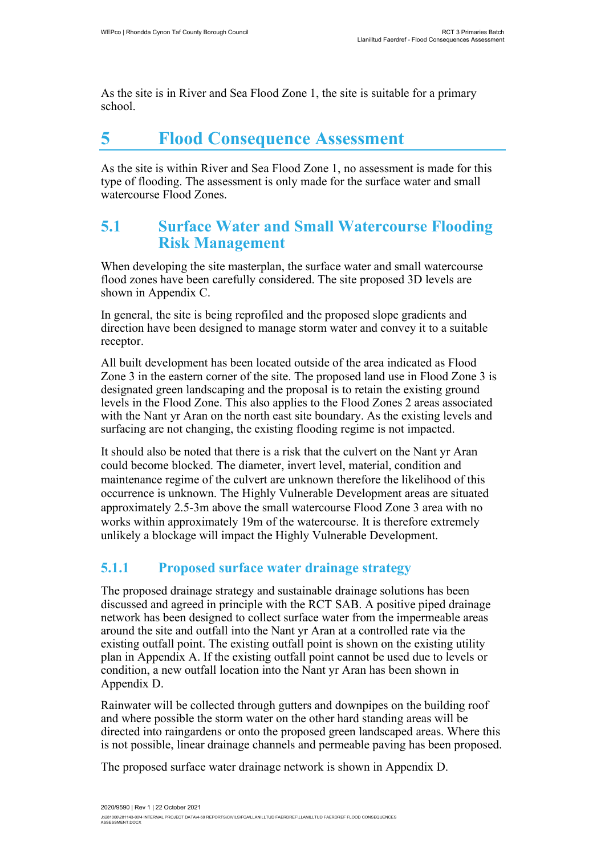As the site is in River and Sea Flood Zone 1, the site is suitable for a primary school.

### 5 Flood Consequence Assessment

As the site is within River and Sea Flood Zone 1, no assessment is made for this type of flooding. The assessment is only made for the surface water and small watercourse Flood Zones.

#### 5.1 Surface Water and Small Watercourse Flooding Risk Management

When developing the site masterplan, the surface water and small watercourse flood zones have been carefully considered. The site proposed 3D levels are shown in Appendix C.

In general, the site is being reprofiled and the proposed slope gradients and direction have been designed to manage storm water and convey it to a suitable receptor.

All built development has been located outside of the area indicated as Flood Zone 3 in the eastern corner of the site. The proposed land use in Flood Zone 3 is designated green landscaping and the proposal is to retain the existing ground levels in the Flood Zone. This also applies to the Flood Zones 2 areas associated with the Nant yr Aran on the north east site boundary. As the existing levels and surfacing are not changing, the existing flooding regime is not impacted.

It should also be noted that there is a risk that the culvert on the Nant yr Aran could become blocked. The diameter, invert level, material, condition and maintenance regime of the culvert are unknown therefore the likelihood of this occurrence is unknown. The Highly Vulnerable Development areas are situated approximately 2.5-3m above the small watercourse Flood Zone 3 area with no works within approximately 19m of the watercourse. It is therefore extremely unlikely a blockage will impact the Highly Vulnerable Development.

#### 5.1.1 Proposed surface water drainage strategy

The proposed drainage strategy and sustainable drainage solutions has been discussed and agreed in principle with the RCT SAB. A positive piped drainage network has been designed to collect surface water from the impermeable areas around the site and outfall into the Nant yr Aran at a controlled rate via the existing outfall point. The existing outfall point is shown on the existing utility plan in Appendix A. If the existing outfall point cannot be used due to levels or condition, a new outfall location into the Nant yr Aran has been shown in Appendix D.

Rainwater will be collected through gutters and downpipes on the building roof and where possible the storm water on the other hard standing areas will be directed into raingardens or onto the proposed green landscaped areas. Where this is not possible, linear drainage channels and permeable paving has been proposed.

The proposed surface water drainage network is shown in Appendix D.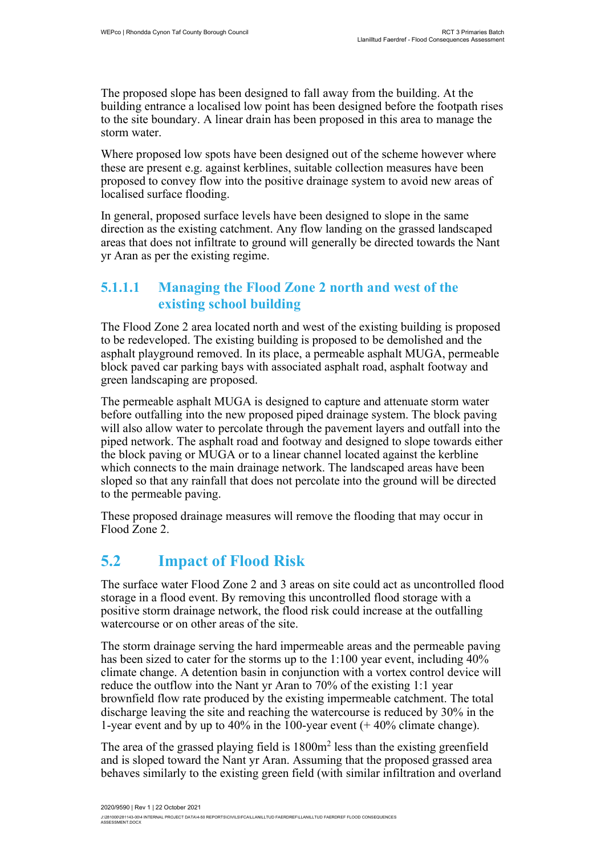The proposed slope has been designed to fall away from the building. At the building entrance a localised low point has been designed before the footpath rises to the site boundary. A linear drain has been proposed in this area to manage the storm water.

Where proposed low spots have been designed out of the scheme however where these are present e.g. against kerblines, suitable collection measures have been proposed to convey flow into the positive drainage system to avoid new areas of localised surface flooding.

In general, proposed surface levels have been designed to slope in the same direction as the existing catchment. Any flow landing on the grassed landscaped areas that does not infiltrate to ground will generally be directed towards the Nant yr Aran as per the existing regime.

#### 5.1.1.1 Managing the Flood Zone 2 north and west of the existing school building

The Flood Zone 2 area located north and west of the existing building is proposed to be redeveloped. The existing building is proposed to be demolished and the asphalt playground removed. In its place, a permeable asphalt MUGA, permeable block paved car parking bays with associated asphalt road, asphalt footway and green landscaping are proposed.

The permeable asphalt MUGA is designed to capture and attenuate storm water before outfalling into the new proposed piped drainage system. The block paving will also allow water to percolate through the pavement layers and outfall into the piped network. The asphalt road and footway and designed to slope towards either the block paving or MUGA or to a linear channel located against the kerbline which connects to the main drainage network. The landscaped areas have been sloped so that any rainfall that does not percolate into the ground will be directed to the permeable paving.

These proposed drainage measures will remove the flooding that may occur in Flood Zone 2.

#### 5.2 Impact of Flood Risk

The surface water Flood Zone 2 and 3 areas on site could act as uncontrolled flood storage in a flood event. By removing this uncontrolled flood storage with a positive storm drainage network, the flood risk could increase at the outfalling watercourse or on other areas of the site.

The storm drainage serving the hard impermeable areas and the permeable paving has been sized to cater for the storms up to the 1:100 year event, including 40% climate change. A detention basin in conjunction with a vortex control device will reduce the outflow into the Nant yr Aran to 70% of the existing 1:1 year brownfield flow rate produced by the existing impermeable catchment. The total discharge leaving the site and reaching the watercourse is reduced by 30% in the 1-year event and by up to 40% in the 100-year event (+ 40% climate change).

The area of the grassed playing field is  $1800m^2$  less than the existing greenfield and is sloped toward the Nant yr Aran. Assuming that the proposed grassed area behaves similarly to the existing green field (with similar infiltration and overland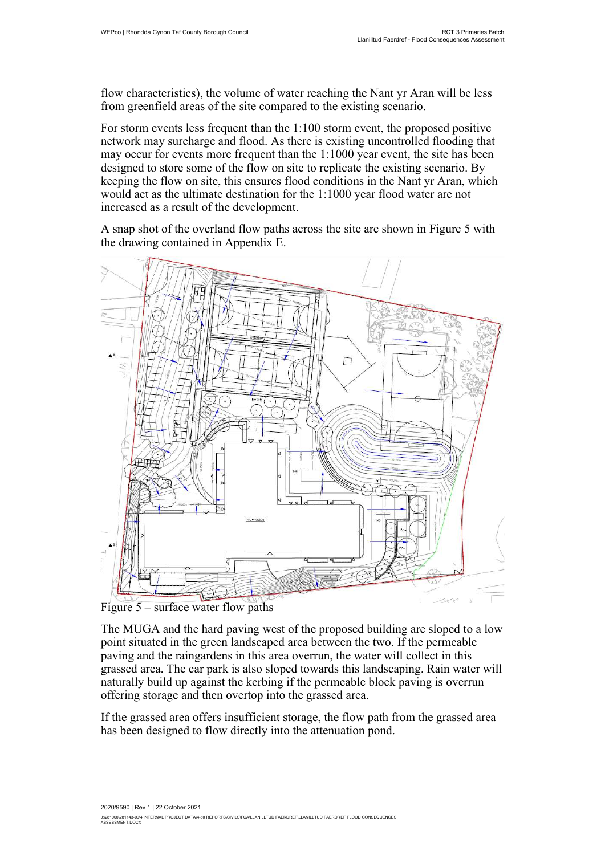flow characteristics), the volume of water reaching the Nant yr Aran will be less from greenfield areas of the site compared to the existing scenario.

For storm events less frequent than the 1:100 storm event, the proposed positive network may surcharge and flood. As there is existing uncontrolled flooding that may occur for events more frequent than the 1:1000 year event, the site has been designed to store some of the flow on site to replicate the existing scenario. By keeping the flow on site, this ensures flood conditions in the Nant yr Aran, which would act as the ultimate destination for the 1:1000 year flood water are not increased as a result of the development.

A snap shot of the overland flow paths across the site are shown in Figure 5 with the drawing contained in Appendix E.



Figure 5 – surface water flow paths

The MUGA and the hard paving west of the proposed building are sloped to a low point situated in the green landscaped area between the two. If the permeable paving and the raingardens in this area overrun, the water will collect in this grassed area. The car park is also sloped towards this landscaping. Rain water will naturally build up against the kerbing if the permeable block paving is overrun offering storage and then overtop into the grassed area.

If the grassed area offers insufficient storage, the flow path from the grassed area has been designed to flow directly into the attenuation pond.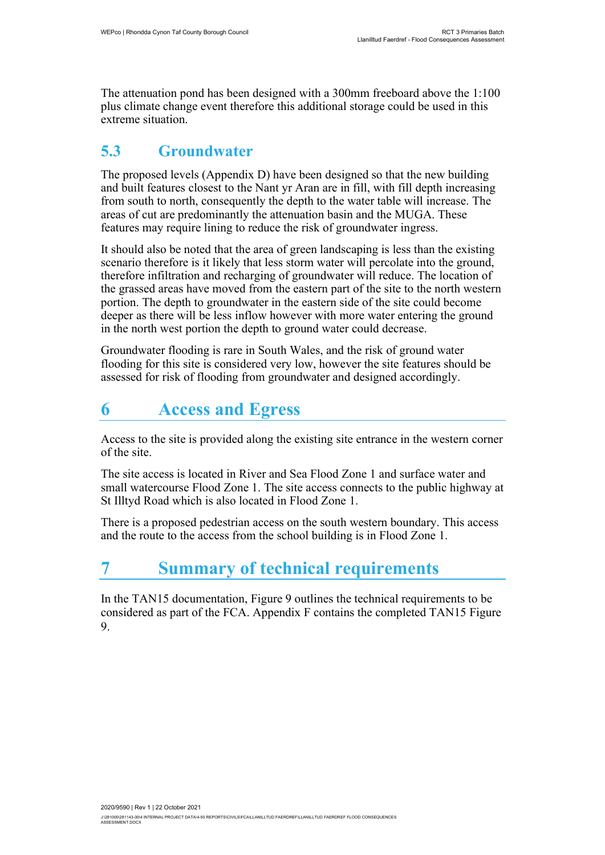The attenuation pond has been designed with a 300mm freeboard above the 1:100 plus climate change event therefore this additional storage could be used in this extreme situation.

### 5.3 Groundwater

The proposed levels (Appendix D) have been designed so that the new building and built features closest to the Nant yr Aran are in fill, with fill depth increasing from south to north, consequently the depth to the water table will increase. The areas of cut are predominantly the attenuation basin and the MUGA. These features may require lining to reduce the risk of groundwater ingress.

It should also be noted that the area of green landscaping is less than the existing scenario therefore is it likely that less storm water will percolate into the ground, therefore infiltration and recharging of groundwater will reduce. The location of the grassed areas have moved from the eastern part of the site to the north western portion. The depth to groundwater in the eastern side of the site could become deeper as there will be less inflow however with more water entering the ground in the north west portion the depth to ground water could decrease.

Groundwater flooding is rare in South Wales, and the risk of ground water flooding for this site is considered very low, however the site features should be assessed for risk of flooding from groundwater and designed accordingly.

# 6 Access and Egress

Access to the site is provided along the existing site entrance in the western corner of the site.

The site access is located in River and Sea Flood Zone 1 and surface water and small watercourse Flood Zone 1. The site access connects to the public highway at St Illtyd Road which is also located in Flood Zone 1.

There is a proposed pedestrian access on the south western boundary. This access and the route to the access from the school building is in Flood Zone 1.

# **Summary of technical requirements**

In the TAN15 documentation, Figure 9 outlines the technical requirements to be considered as part of the FCA. Appendix F contains the completed TAN15 Figure 9.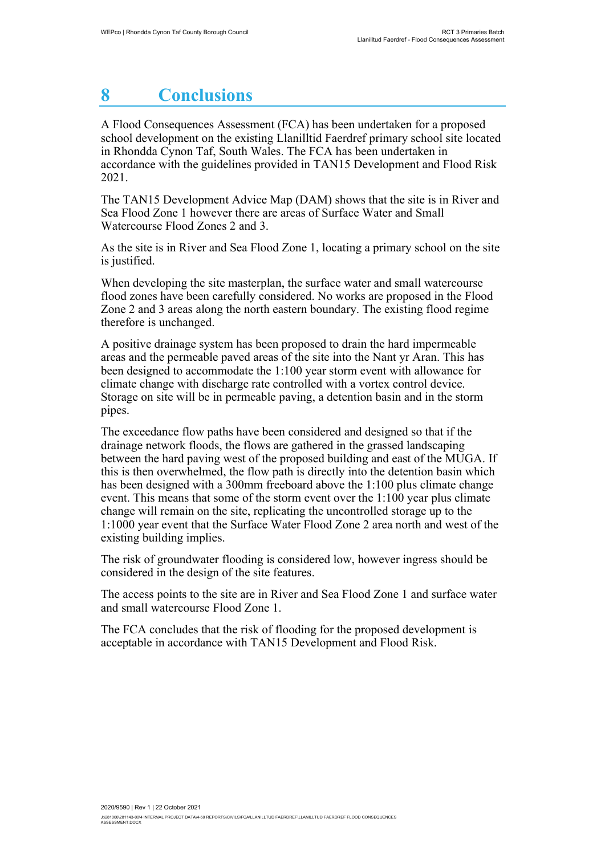### 8 **Conclusions**

A Flood Consequences Assessment (FCA) has been undertaken for a proposed school development on the existing Llanilltid Faerdref primary school site located in Rhondda Cynon Taf, South Wales. The FCA has been undertaken in accordance with the guidelines provided in TAN15 Development and Flood Risk 2021.

The TAN15 Development Advice Map (DAM) shows that the site is in River and Sea Flood Zone 1 however there are areas of Surface Water and Small Watercourse Flood Zones 2 and 3.

As the site is in River and Sea Flood Zone 1, locating a primary school on the site is justified.

When developing the site masterplan, the surface water and small watercourse flood zones have been carefully considered. No works are proposed in the Flood Zone 2 and 3 areas along the north eastern boundary. The existing flood regime therefore is unchanged.

A positive drainage system has been proposed to drain the hard impermeable areas and the permeable paved areas of the site into the Nant yr Aran. This has been designed to accommodate the 1:100 year storm event with allowance for climate change with discharge rate controlled with a vortex control device. Storage on site will be in permeable paving, a detention basin and in the storm pipes.

The exceedance flow paths have been considered and designed so that if the drainage network floods, the flows are gathered in the grassed landscaping between the hard paving west of the proposed building and east of the MUGA. If this is then overwhelmed, the flow path is directly into the detention basin which has been designed with a 300mm freeboard above the 1:100 plus climate change event. This means that some of the storm event over the 1:100 year plus climate change will remain on the site, replicating the uncontrolled storage up to the 1:1000 year event that the Surface Water Flood Zone 2 area north and west of the existing building implies.

The risk of groundwater flooding is considered low, however ingress should be considered in the design of the site features.

The access points to the site are in River and Sea Flood Zone 1 and surface water and small watercourse Flood Zone 1.

The FCA concludes that the risk of flooding for the proposed development is acceptable in accordance with TAN15 Development and Flood Risk.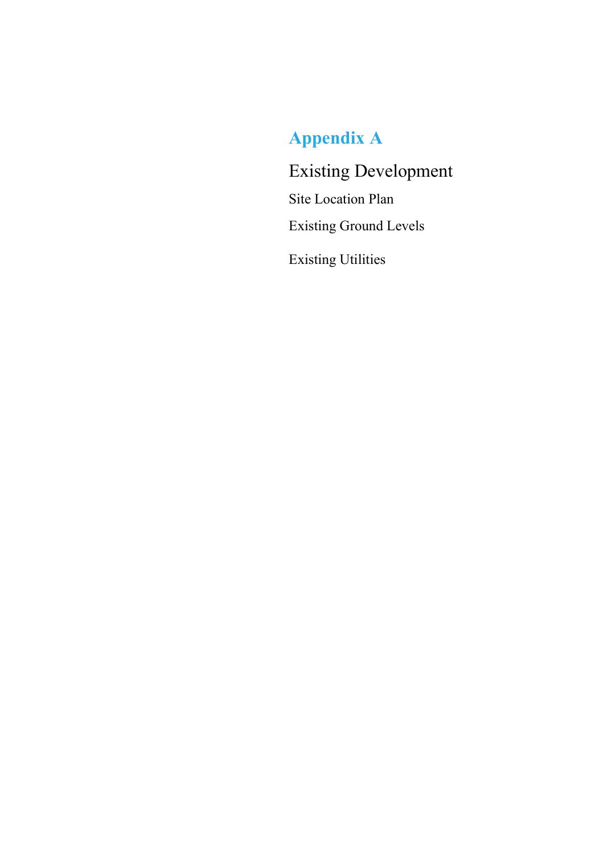# Appendix A

Existing Development Site Location Plan Existing Ground Levels Existing Utilities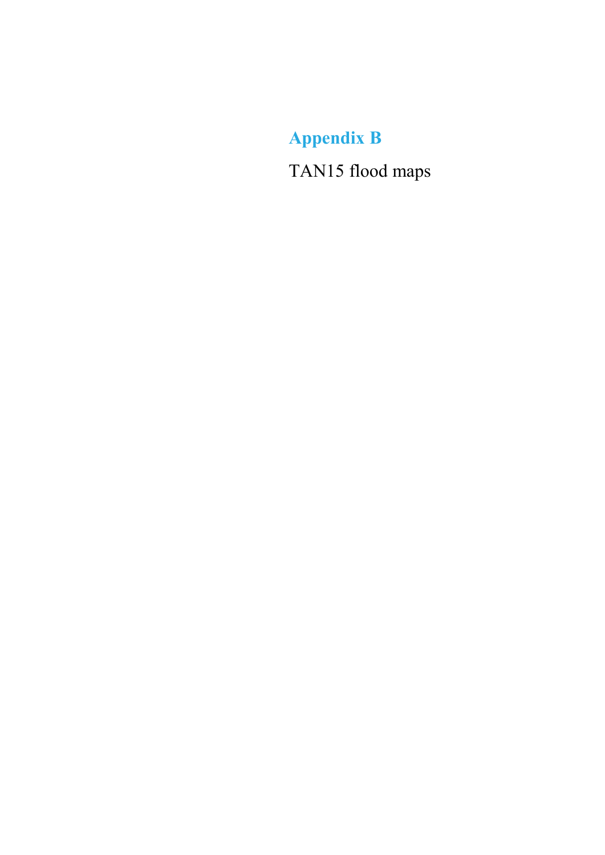Appendix B TAN15 flood maps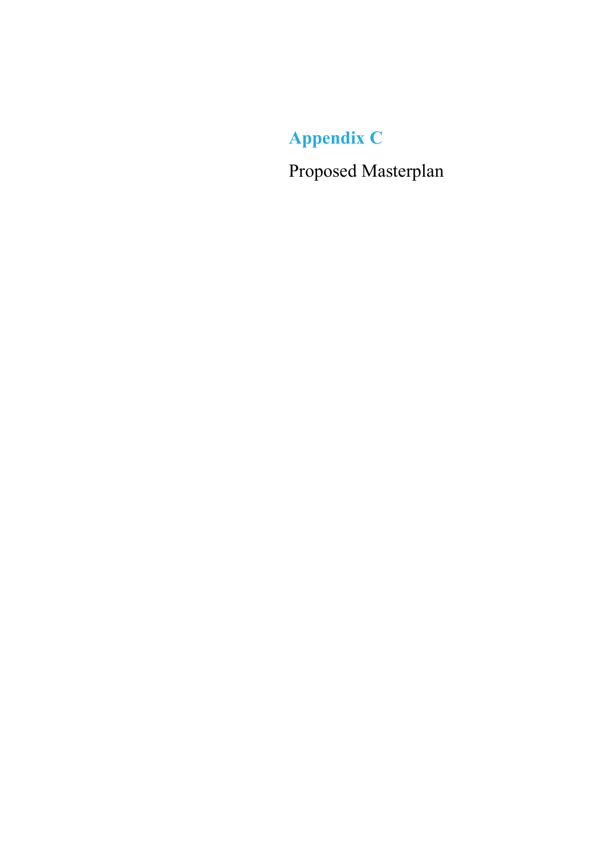Appendix C

Proposed Masterplan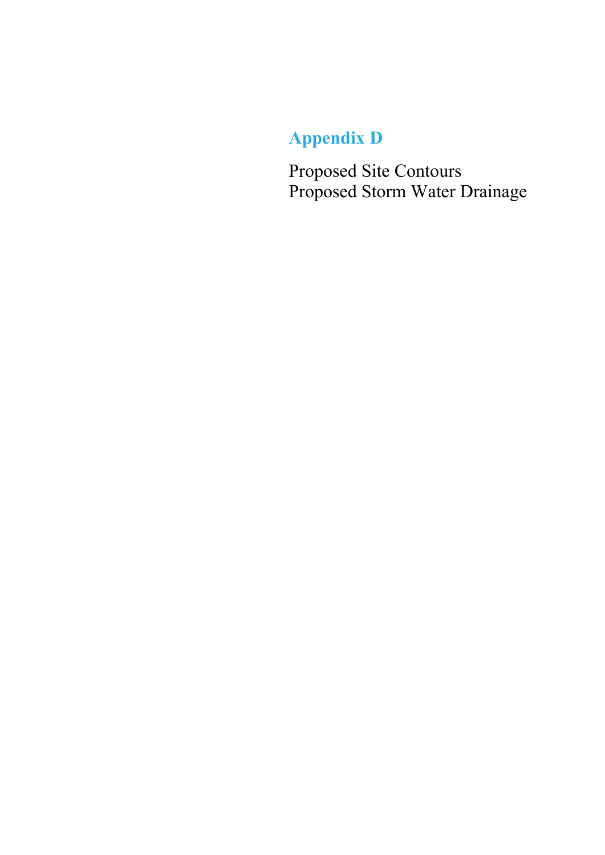# Appendix D

Proposed Site Contours Proposed Storm Water Drainage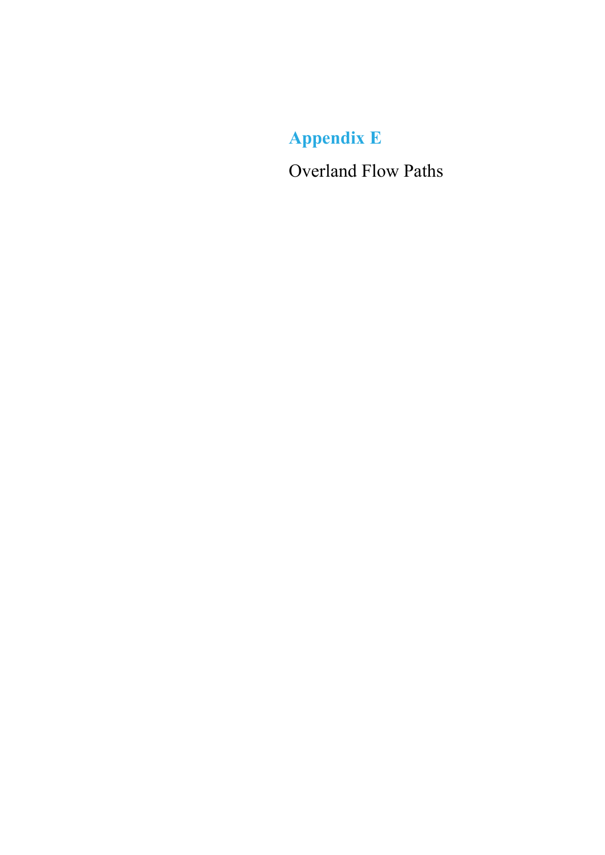Appendix E

Overland Flow Paths